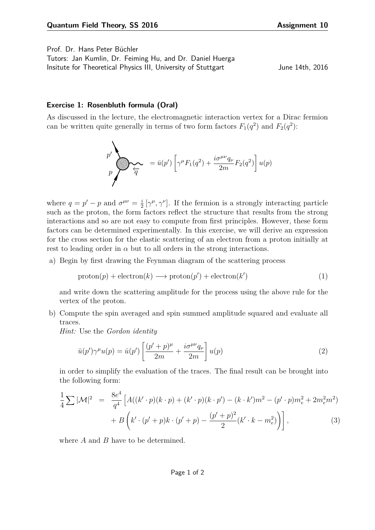Prof. Dr. Hans Peter Büchler Tutors: Jan Kumlin, Dr. Feiming Hu, and Dr. Daniel Huerga

Insitute for Theoretical Physics III, University of Stuttgart Theorem 14th, 2016

## **Exercise 1: Rosenbluth formula (Oral)**

As discussed in the lecture, the electromagnetic interaction vertex for a Dirac fermion can be written quite generally in terms of two form factors  $F_1(q^2)$  and  $F_2(q^2)$ :

$$
p' \leftarrow p' \leftarrow p' \leftarrow p' \left[ \gamma^{\mu} F_1(q^2) + \frac{i \sigma^{\mu \nu} q_{\nu}}{2m} F_2(q^2) \right] u(p)
$$

where  $q = p' - p$  and  $\sigma^{\mu\nu} = \frac{i}{2} [\gamma^{\mu}, \gamma^{\nu}]$ . If the fermion is a strongly interacting particle such as the proton, the form factors reflect the structure that results from the strong meractions and so are not easy to compute from first principles. However, these form factors can be determined experimentally. In this exercise, we will derive an expression for the cross section for the elastic scattering of an electron from a proton initially at rest to leading order in  $\alpha$  but to all orders in the strong interactions.  $\frac{i}{2} [\gamma^{\mu}, \gamma^{\nu}]$ . If the fermion is a strongly interacting particle interactions and so are not easy to compute from first principles. However, these form

a) Begin by first drawing the Feynman diagram of the scattering process

$$
proton(p) + electron(k) \longrightarrow proton(p') + electron(k')
$$
 (1)

and write down the scattering amplitude for the process using the above rule for the vertex of the proton.  $\emph{vertex}$  of the proton.

 $\mathbb{Z}^2$ b) Compute the spin averaged and spin summed amplitude squared and evaluate all traces. traces. )<br>Sulla university of the set of the set of the set of the set of the set of the set of the set of the set of th u(p),

*Hint:* Use the *Gordon identity*

$$
\bar{u}(p')\gamma^{\mu}u(p) = \bar{u}(p')\left[\frac{(p'+p)^{\mu}}{2m} + \frac{i\sigma^{\mu\nu}q_{\nu}}{2m}\right]u(p) \tag{2}
$$

in order to simplify the evaluation of the traces. The final result can be brought into the following form:

$$
\frac{1}{4}\sum |\mathcal{M}|^2 = \frac{8e^4}{q^4} \left[ A((k' \cdot p)(k \cdot p) + (k' \cdot p)(k \cdot p') - (k \cdot k')m^2 - (p' \cdot p)m_e^2 + 2m_e^2m^2) + B(k' \cdot (p' + p)k \cdot (p' + p) - \frac{(p' + p)^2}{2}(k' \cdot k - m_e^2)) \right],
$$
\n(3)

 $\frac{1}{2}$ where  $A$  and  $B$  have to be determined.